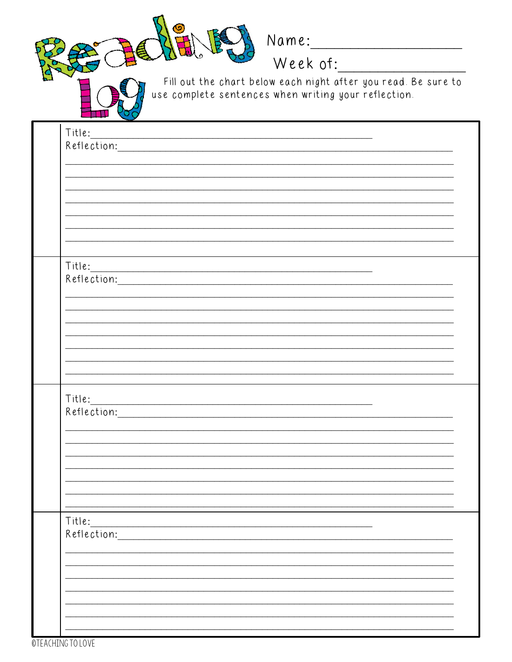

Fill out the chart below each night after you read. Be sure to use complete sentences when writing your reflection.

| $\rightarrow$<br>Title: |                                                                                                                |  |
|-------------------------|----------------------------------------------------------------------------------------------------------------|--|
| Reflection:             | <u> 1989 - Johann Barbara, martxa alemani</u> ar a                                                             |  |
|                         |                                                                                                                |  |
|                         |                                                                                                                |  |
|                         |                                                                                                                |  |
|                         |                                                                                                                |  |
|                         |                                                                                                                |  |
|                         |                                                                                                                |  |
|                         |                                                                                                                |  |
| Title:                  |                                                                                                                |  |
|                         |                                                                                                                |  |
|                         | Reflection:                                                                                                    |  |
|                         |                                                                                                                |  |
|                         |                                                                                                                |  |
|                         |                                                                                                                |  |
|                         |                                                                                                                |  |
|                         |                                                                                                                |  |
|                         |                                                                                                                |  |
|                         |                                                                                                                |  |
| Title:                  |                                                                                                                |  |
|                         | Reflection: Network of the Communication of the Communication of the Communication of the Communication of the |  |
|                         |                                                                                                                |  |
|                         |                                                                                                                |  |
|                         |                                                                                                                |  |
|                         |                                                                                                                |  |
|                         |                                                                                                                |  |
|                         |                                                                                                                |  |
| Title:                  |                                                                                                                |  |
| Reflection:             |                                                                                                                |  |
|                         |                                                                                                                |  |
|                         |                                                                                                                |  |
|                         |                                                                                                                |  |
|                         |                                                                                                                |  |
|                         |                                                                                                                |  |
|                         |                                                                                                                |  |
|                         |                                                                                                                |  |

**OTEACHING TO LOVE**